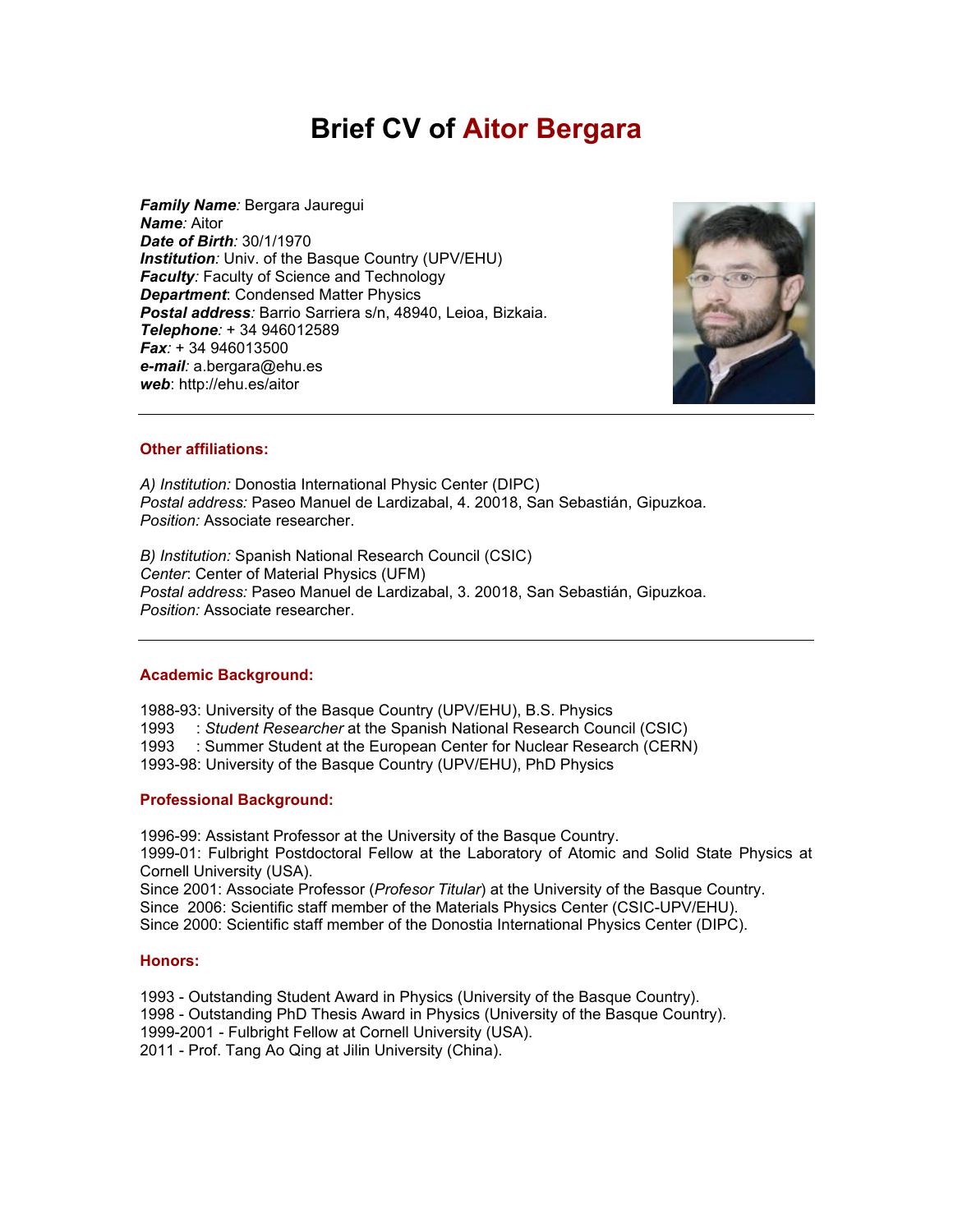# **Brief CV of Aitor Bergara**

*Family Name:* Bergara Jauregui *Name:* Aitor *Date of Birth:* 30/1/1970 *Institution:* Univ. of the Basque Country (UPV/EHU) *Faculty:* Faculty of Science and Technology *Department*: Condensed Matter Physics *Postal address:* Barrio Sarriera s/n, 48940, Leioa, Bizkaia. *Telephone:* + 34 946012589 *Fax:* + 34 946013500 *e-mail:* a.bergara@ehu.es *web*: http://ehu.es/aitor



## **Other affiliations:**

*A) Institution:* Donostia International Physic Center (DIPC) *Postal address:* Paseo Manuel de Lardizabal, 4. 20018, San Sebastián, Gipuzkoa. *Position:* Associate researcher.

*B) Institution:* Spanish National Research Council (CSIC) *Center*: Center of Material Physics (UFM) *Postal address:* Paseo Manuel de Lardizabal, 3. 20018, San Sebastián, Gipuzkoa. *Position:* Associate researcher.

## **Academic Background:**

1988-93: University of the Basque Country (UPV/EHU), B.S. Physics

1993 : *Student Researcher* at the Spanish National Research Council (CSIC)

1993 : Summer Student at the European Center for Nuclear Research (CERN)

1993-98: University of the Basque Country (UPV/EHU), PhD Physics

# **Professional Background:**

1996-99: Assistant Professor at the University of the Basque Country. 1999-01: Fulbright Postdoctoral Fellow at the Laboratory of Atomic and Solid State Physics at Cornell University (USA). Since 2001: Associate Professor (*Profesor Titular*) at the University of the Basque Country. Since 2006: Scientific staff member of the Materials Physics Center (CSIC-UPV/EHU).

Since 2000: Scientific staff member of the Donostia International Physics Center (DIPC).

# **Honors:**

1993 - Outstanding Student Award in Physics (University of the Basque Country).

- 1998 Outstanding PhD Thesis Award in Physics (University of the Basque Country).
- 1999-2001 Fulbright Fellow at Cornell University (USA).

2011 - Prof. Tang Ao Qing at Jilin University (China).